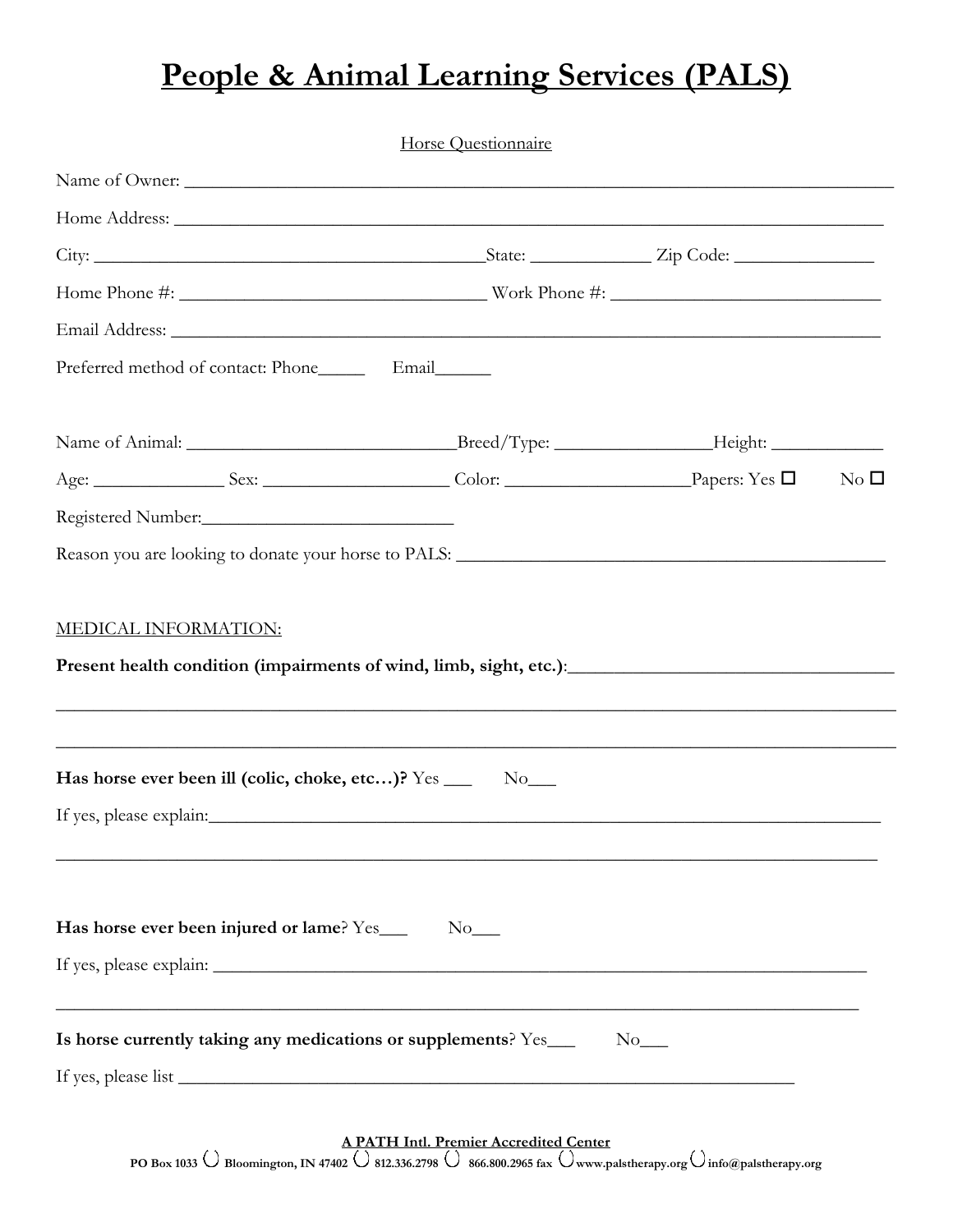## **People & Animal Learning Services (PALS)**

|                                                                                   | <b>Horse Questionnaire</b> |                     |               |
|-----------------------------------------------------------------------------------|----------------------------|---------------------|---------------|
| Name of Owner:                                                                    |                            |                     |               |
|                                                                                   |                            |                     |               |
|                                                                                   |                            |                     |               |
|                                                                                   |                            |                     |               |
|                                                                                   |                            |                     |               |
| Preferred method of contact: Phone___________ Email                               |                            |                     |               |
|                                                                                   |                            |                     |               |
|                                                                                   |                            |                     | $\rm No~\Box$ |
|                                                                                   |                            |                     |               |
| Reason you are looking to donate your horse to PALS: ____________________________ |                            |                     |               |
| <b>MEDICAL INFORMATION:</b>                                                       |                            |                     |               |
| Has horse ever been ill (colic, choke, etc)? Yes ___                              | $No$ <sub>___</sub>        |                     |               |
|                                                                                   |                            |                     |               |
|                                                                                   |                            |                     |               |
| Has horse ever been injured or lame? Yes___                                       | $No$ <sub>___</sub>        |                     |               |
| <u> 1989 - Johann Stoff, amerikansk politik (f. 1989)</u>                         |                            |                     |               |
| Is horse currently taking any medications or supplements? Yes____                 |                            | $No$ <sub>___</sub> |               |
|                                                                                   |                            |                     |               |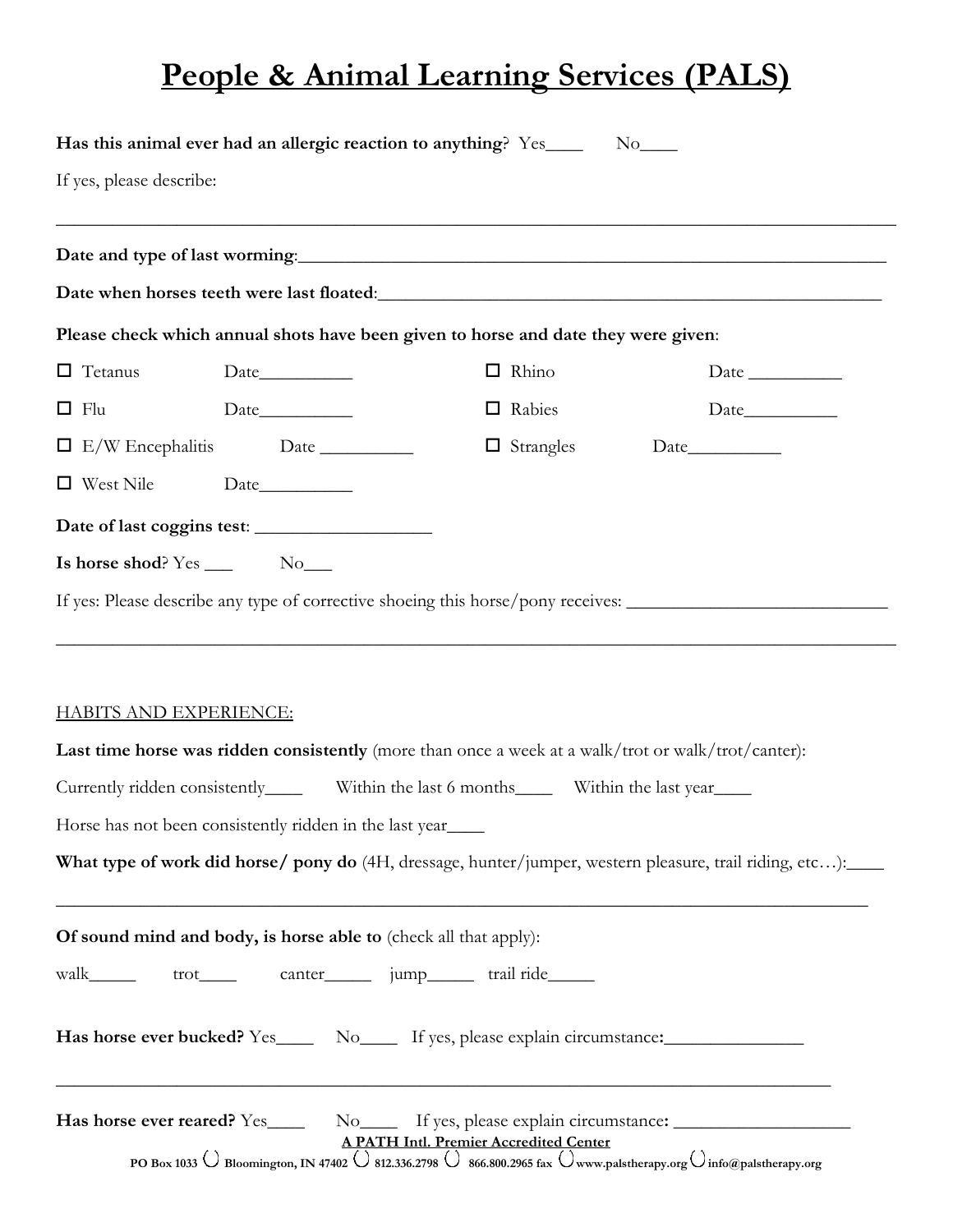## **People & Animal Learning Services (PALS)**

| Please check which annual shots have been given to horse and date they were given:<br>$\Box$ Rhino<br>□ Rabies<br>$\Box$ Strangles | Date when horses teeth were last floated:<br><u>Date when horses</u> teeth were last floated:<br>Date $\_\_$<br>If yes: Please describe any type of corrective shoeing this horse/pony receives: _____________________________                                                                                                                                      |
|------------------------------------------------------------------------------------------------------------------------------------|---------------------------------------------------------------------------------------------------------------------------------------------------------------------------------------------------------------------------------------------------------------------------------------------------------------------------------------------------------------------|
|                                                                                                                                    |                                                                                                                                                                                                                                                                                                                                                                     |
|                                                                                                                                    |                                                                                                                                                                                                                                                                                                                                                                     |
|                                                                                                                                    |                                                                                                                                                                                                                                                                                                                                                                     |
|                                                                                                                                    |                                                                                                                                                                                                                                                                                                                                                                     |
|                                                                                                                                    |                                                                                                                                                                                                                                                                                                                                                                     |
|                                                                                                                                    |                                                                                                                                                                                                                                                                                                                                                                     |
|                                                                                                                                    |                                                                                                                                                                                                                                                                                                                                                                     |
|                                                                                                                                    |                                                                                                                                                                                                                                                                                                                                                                     |
|                                                                                                                                    |                                                                                                                                                                                                                                                                                                                                                                     |
|                                                                                                                                    |                                                                                                                                                                                                                                                                                                                                                                     |
|                                                                                                                                    |                                                                                                                                                                                                                                                                                                                                                                     |
|                                                                                                                                    | Last time horse was ridden consistently (more than once a week at a walk/trot or walk/trot/canter):                                                                                                                                                                                                                                                                 |
|                                                                                                                                    |                                                                                                                                                                                                                                                                                                                                                                     |
|                                                                                                                                    | What type of work did horse/ pony do (4H, dressage, hunter/jumper, western pleasure, trail riding, etc):                                                                                                                                                                                                                                                            |
|                                                                                                                                    |                                                                                                                                                                                                                                                                                                                                                                     |
|                                                                                                                                    | Has horse ever bucked? Yes______ No______ If yes, please explain circumstance:______________________                                                                                                                                                                                                                                                                |
|                                                                                                                                    | Has horse ever reared? Yes_______ No_______ If yes, please explain circumstance: ___________________<br>$\frac{\text{A PATH Intl. Premier Accredicted Center}}{\text{PO Box 1033}}\bigcirc \text{Bloomington, IN 47402 } \bigcirc \text{812.336.2798 } \bigcirc \text{866.800.2965 fax } \bigcirc \text{www.palstherapy.org } \bigcirc \text{info@palstherapy.org}$ |
|                                                                                                                                    | Currently ridden consistently_______ Within the last 6 months_______ Within the last year______<br>Of sound mind and body, is horse able to (check all that apply):<br>walk______ trot_____ canter______ jump______ trail ride______                                                                                                                                |